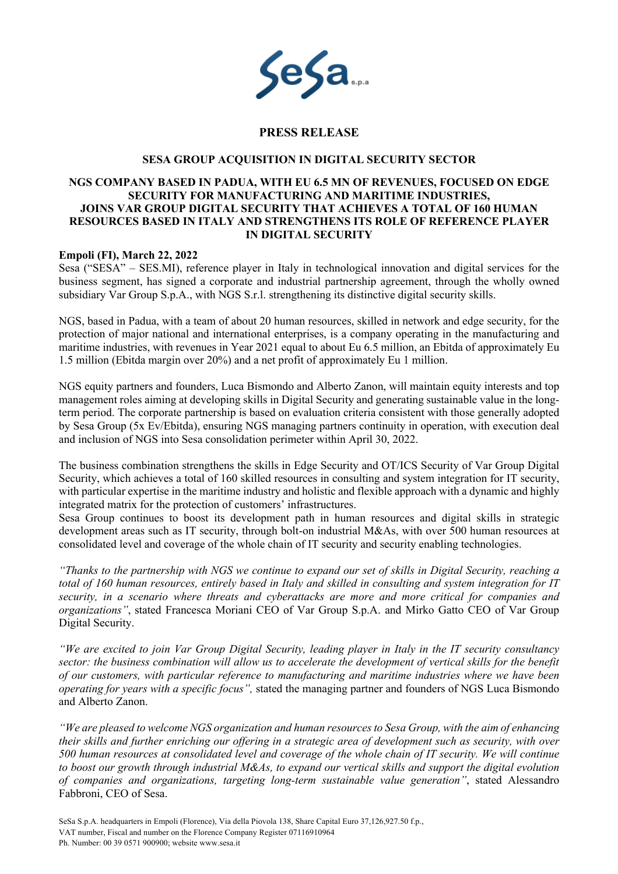

# **PRESS RELEASE**

#### **SESA GROUP ACQUISITION IN DIGITAL SECURITY SECTOR**

# **NGS COMPANY BASED IN PADUA, WITH EU 6.5 MN OF REVENUES, FOCUSED ON EDGE SECURITY FOR MANUFACTURING AND MARITIME INDUSTRIES, JOINS VAR GROUP DIGITAL SECURITY THAT ACHIEVES A TOTAL OF 160 HUMAN RESOURCES BASED IN ITALY AND STRENGTHENS ITS ROLE OF REFERENCE PLAYER IN DIGITAL SECURITY**

### **Empoli (FI), March 22, 2022**

Sesa ("SESA" – SES.MI), reference player in Italy in technological innovation and digital services for the business segment, has signed a corporate and industrial partnership agreement, through the wholly owned subsidiary Var Group S.p.A., with NGS S.r.l. strengthening its distinctive digital security skills.

NGS, based in Padua, with a team of about 20 human resources, skilled in network and edge security, for the protection of major national and international enterprises, is a company operating in the manufacturing and maritime industries, with revenues in Year 2021 equal to about Eu 6.5 million, an Ebitda of approximately Eu 1.5 million (Ebitda margin over 20%) and a net profit of approximately Eu 1 million.

NGS equity partners and founders, Luca Bismondo and Alberto Zanon, will maintain equity interests and top management roles aiming at developing skills in Digital Security and generating sustainable value in the longterm period. The corporate partnership is based on evaluation criteria consistent with those generally adopted by Sesa Group (5x Ev/Ebitda), ensuring NGS managing partners continuity in operation, with execution deal and inclusion of NGS into Sesa consolidation perimeter within April 30, 2022.

The business combination strengthens the skills in Edge Security and OT/ICS Security of Var Group Digital Security, which achieves a total of 160 skilled resources in consulting and system integration for IT security, with particular expertise in the maritime industry and holistic and flexible approach with a dynamic and highly integrated matrix for the protection of customers' infrastructures.

Sesa Group continues to boost its development path in human resources and digital skills in strategic development areas such as IT security, through bolt-on industrial M&As, with over 500 human resources at consolidated level and coverage of the whole chain of IT security and security enabling technologies.

*"Thanks to the partnership with NGS we continue to expand our set of skills in Digital Security, reaching a total of 160 human resources, entirely based in Italy and skilled in consulting and system integration for IT security, in a scenario where threats and cyberattacks are more and more critical for companies and organizations"*, stated Francesca Moriani CEO of Var Group S.p.A. and Mirko Gatto CEO of Var Group Digital Security.

*"We are excited to join Var Group Digital Security, leading player in Italy in the IT security consultancy sector: the business combination will allow us to accelerate the development of vertical skills for the benefit of our customers, with particular reference to manufacturing and maritime industries where we have been operating for years with a specific focus",* stated the managing partner and founders of NGS Luca Bismondo and Alberto Zanon.

*"We are pleased to welcome NGS organization and human resources to Sesa Group, with the aim of enhancing their skills and further enriching our offering in a strategic area of development such as security, with over 500 human resources at consolidated level and coverage of the whole chain of IT security. We will continue to boost our growth through industrial M&As, to expand our vertical skills and support the digital evolution of companies and organizations, targeting long-term sustainable value generation"*, stated Alessandro Fabbroni, CEO of Sesa.